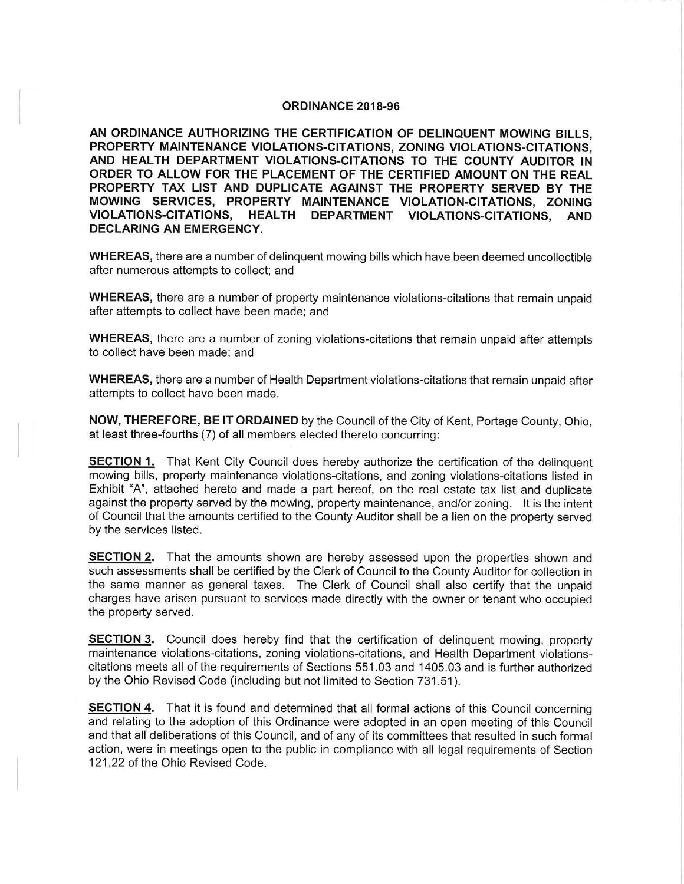## **ORDINANCE 2018-96**

**AN ORDINANCE AUTHORIZING THE CERTIFICATION OF DELINQUENT MOWING BILLS, PROPERTY MAINTENANCE VIOLATIONS-CITATIONS, ZONING VIOLATIONS-CITATIONS, AND HEALTH DEPARTMENT VIOLATIONS-CITATIONS TO THE COUNTY AUDITOR IN ORDER TO ALLOW FOR THE PLACEMENT OF THE CERTIFIED AMOUNT ON THE REAL PROPERTY TAX LIST AND DUPLICATE AGAINST THE PROPERTY SERVED BY THE MOWING SERVICES, PROPERTY MAINTENANCE VIOLATION-CITATIONS, ZONING VIOLATIONS-CITATIONS, HEALTH DEPARTMENT VIOLATIONS-CITATIONS, AND DECLARING AN EMERGENCY.** 

**WHEREAS,** there are a number of delinquent mowing bills which have been deemed uncollectible after numerous attempts to collect; and

**WHEREAS,** there are a number of property maintenance violations-citations that remain unpaid after attempts to collect have been made; and

**WHEREAS,** there are a number of zoning violations-citations that remain unpaid after attempts to collect have been made; and

**WHEREAS,** there are a number of Health Department violations-citations that remain unpaid after attempts to collect have been made.

**NOW, THEREFORE, BE IT ORDAINED** by the Council of the City of Kent, Portage County, Ohio, at least three-fourths (7) of all members elected thereto concurring:

**SECTION 1.** That Kent City Council does hereby authorize the certification of the delinquent mowing bills, property maintenance violations-citations, and zoning violations-citations listed in Exhibit "A", attached hereto and made a part hereof, on the real estate tax list and duplicate against the property served by the mowing, property maintenance, and/or zoning. It is the intent of Council that the amounts certified to the County Auditor shall be a lien on the property served by the services listed.

**SECTION 2.** That the amounts shown are hereby assessed upon the properties shown and such assessments shall be certified by the Clerk of Council to the County Auditor for collection in the same manner as general taxes. The Clerk of Council shall also certify that the unpaid charges have arisen pursuant to services made directly with the owner or tenant who occupied the property served.

**SECTION 3.** Council does hereby find that the certification of delinguent mowing, property maintenance violations-citations, zoning violations-citations, and Health Department violationscitations meets all of the requirements of Sections 551.03 and 1405.03 and is further authorized by the Ohio Revised Code (including but not limited to Section 731.51 ).

**SECTION 4.** That it is found and determined that all formal actions of this Council concerning and relating to the adoption of this Ordinance were adopted in an open meeting of this Council and that all deliberations of this Council, and of any of its committees that resulted in such formal action, were in meetings open to the public in compliance with all legal requirements of Section 121 .22 of the Ohio Revised Code.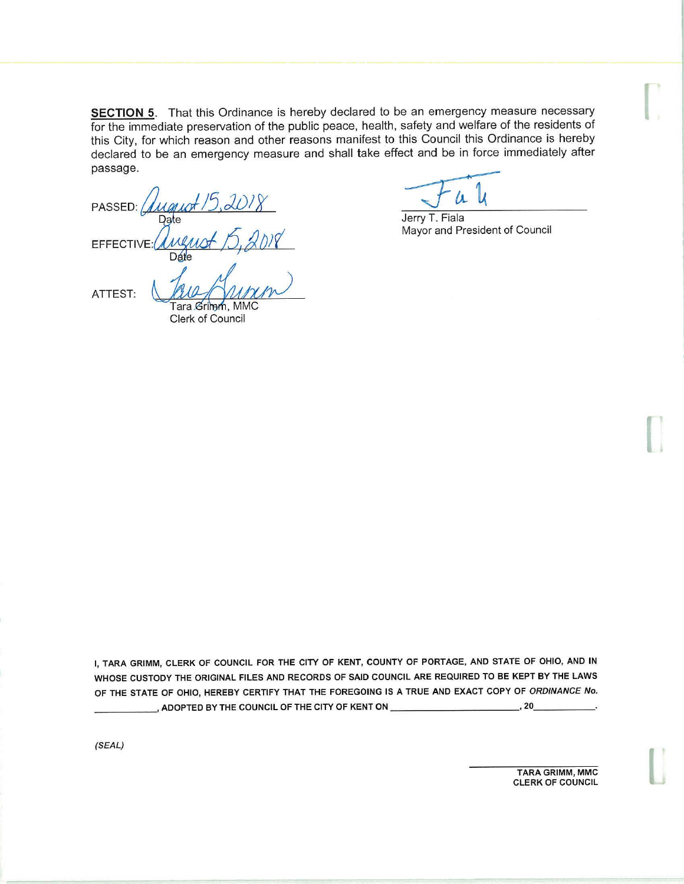**SECTION 5.** That this Ordinance is hereby declared to be an emergency measure necessary for the immediate preservation of the public peace, health, safety and welfare of the residents of this City, for which reason and other reasons manifest to this Council this Ordinance is hereby declared to be an emergency measure and shall take effect and be in force immediately after passage.

PASSED: **EFFECTIVE** Dáte Date<br>
<u>Maya Myyer</u><br>
Tara Grimm, MMC<br>
Clerk of Council ATTEST:

Jerry T. Fiala Mayor and President of Council

**r** 

I

**l** 

I, **TARA GRIMM,** CLERK OF COUNCIL FOR THE CITY OF KENT, COUNTY OF PORTAGE, AND STATE OF OHIO, **AND IN**  WHOSE CUSTODY THE ORIGINAL FILES AND RECORDS OF SAID COUNCIL ARE REQUIRED TO BE KEPT BY THE LAWS OF THE STATE OF OHIO, HEREBY CERTIFY THAT THE FOREGOING IS A TRUE AND EXACT COPY OF ORDINANCE No. \_, ADOPTED BY THE COUNCIL OF THE CITY OF KENT ON \_\_\_\_\_\_\_\_\_\_\_\_\_\_\_\_\_\_\_\_\_\_\_\_\_\_\_\_\_\_, 20\_

(SEAL)

TARA GRIMM, MMC CLERK OF COUNCIL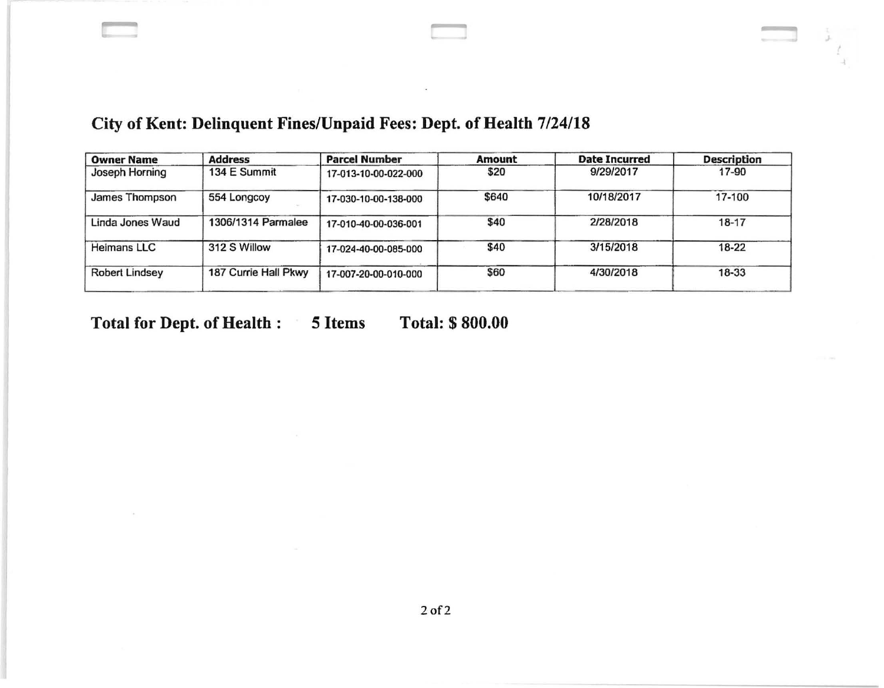## City of Kent: Delinquent Fines/Unpaid Fees: Dept. of Health 7/24/18

| <b>Owner Name</b>     | <b>Address</b>       | <b>Parcel Number</b> | <b>Amount</b> | <b>Date Incurred</b> | <b>Description</b> |
|-----------------------|----------------------|----------------------|---------------|----------------------|--------------------|
| Joseph Horning        | 134 E Summit         | 17-013-10-00-022-000 | \$20          | 9/29/2017            | 17-90              |
| James Thompson        | 554 Longcoy          | 17-030-10-00-138-000 | \$640         | 10/18/2017           | 17-100             |
| Linda Jones Waud      | 1306/1314 Parmalee   | 17-010-40-00-036-001 | \$40          | 2/28/2018            | $18 - 17$          |
| Heimans LLC           | 312 S Willow         | 17-024-40-00-085-000 | \$40          | 3/15/2018            | 18-22              |
| <b>Robert Lindsey</b> | 187 Currie Hall Pkwy | 17-007-20-00-010-000 | \$60          | 4/30/2018            | 18-33              |
|                       |                      |                      |               |                      |                    |

Total for Dept. of Health : 5 Items Total: \$800.00

2of2